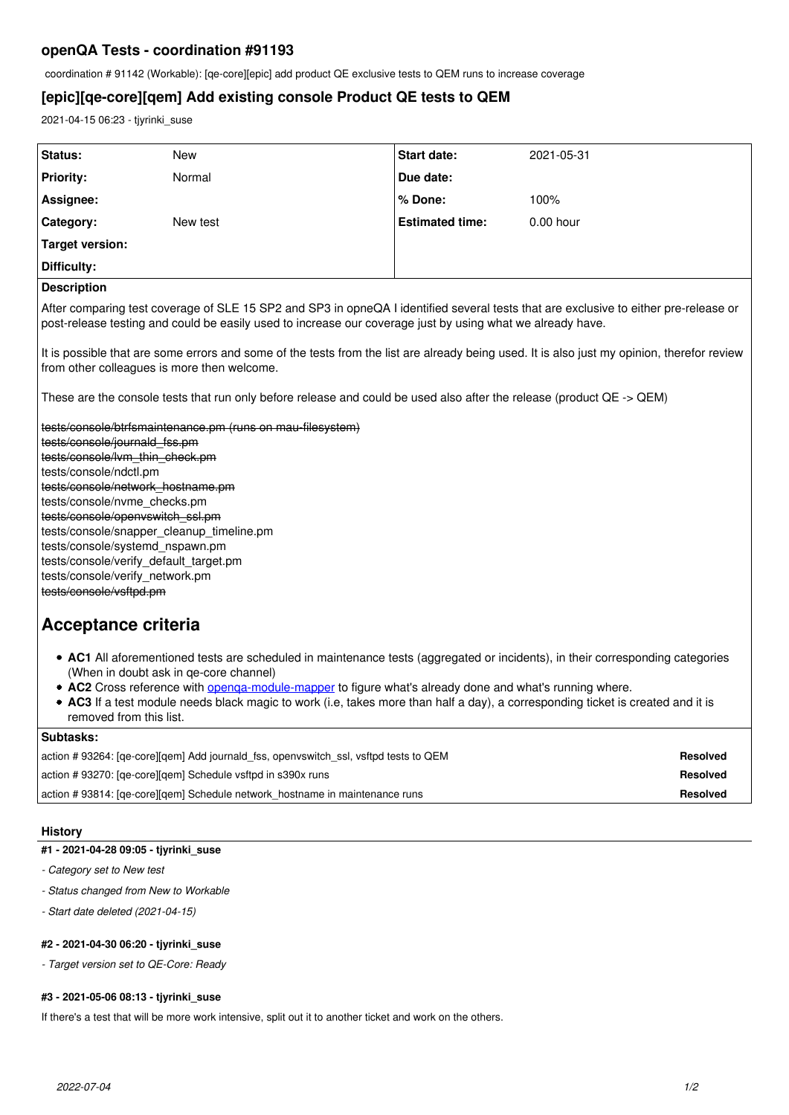# **openQA Tests - coordination #91193**

coordination # 91142 (Workable): [qe-core][epic] add product QE exclusive tests to QEM runs to increase coverage

# **[epic][qe-core][qem] Add existing console Product QE tests to QEM**

2021-04-15 06:23 - tjyrinki\_suse

| Status:                                                                                                                                                                                                                                                                                                                                                                                                                                                                                 | <b>New</b>                                                                                              | <b>Start date:</b>     | 2021-05-31      |
|-----------------------------------------------------------------------------------------------------------------------------------------------------------------------------------------------------------------------------------------------------------------------------------------------------------------------------------------------------------------------------------------------------------------------------------------------------------------------------------------|---------------------------------------------------------------------------------------------------------|------------------------|-----------------|
| <b>Priority:</b>                                                                                                                                                                                                                                                                                                                                                                                                                                                                        | Normal                                                                                                  | Due date:              |                 |
| Assignee:                                                                                                                                                                                                                                                                                                                                                                                                                                                                               |                                                                                                         | % Done:                | 100%            |
| Category:                                                                                                                                                                                                                                                                                                                                                                                                                                                                               | New test                                                                                                | <b>Estimated time:</b> | $0.00$ hour     |
| Target version:                                                                                                                                                                                                                                                                                                                                                                                                                                                                         |                                                                                                         |                        |                 |
| Difficulty:                                                                                                                                                                                                                                                                                                                                                                                                                                                                             |                                                                                                         |                        |                 |
| <b>Description</b>                                                                                                                                                                                                                                                                                                                                                                                                                                                                      |                                                                                                         |                        |                 |
| After comparing test coverage of SLE 15 SP2 and SP3 in opneQA I identified several tests that are exclusive to either pre-release or<br>post-release testing and could be easily used to increase our coverage just by using what we already have.                                                                                                                                                                                                                                      |                                                                                                         |                        |                 |
| It is possible that are some errors and some of the tests from the list are already being used. It is also just my opinion, therefor review<br>from other colleagues is more then welcome.                                                                                                                                                                                                                                                                                              |                                                                                                         |                        |                 |
| These are the console tests that run only before release and could be used also after the release (product QE -> QEM)                                                                                                                                                                                                                                                                                                                                                                   |                                                                                                         |                        |                 |
| tests/console/btrfsmaintenance.pm (runs on mau-filesystem)<br>tests/console/journald_fss.pm<br>tests/console/lvm_thin_check.pm<br>tests/console/ndctl.pm<br>tests/console/network hostname.pm<br>tests/console/nvme_checks.pm<br>tests/console/openvswitch ssl.pm<br>tests/console/snapper_cleanup_timeline.pm<br>tests/console/systemd_nspawn.pm<br>tests/console/verify default target.pm<br>tests/console/verify network.pm<br>tests/console/vsftpd.pm<br><b>Acceptance criteria</b> |                                                                                                         |                        |                 |
| • AC1 All aforementioned tests are scheduled in maintenance tests (aggregated or incidents), in their corresponding categories<br>(When in doubt ask in ge-core channel)<br>• AC2 Cross reference with openga-module-mapper to figure what's already done and what's running where.<br>• AC3 If a test module needs black magic to work (i.e, takes more than half a day), a corresponding ticket is created and it is<br>removed from this list.                                       |                                                                                                         |                        |                 |
| Subtasks:                                                                                                                                                                                                                                                                                                                                                                                                                                                                               |                                                                                                         |                        |                 |
|                                                                                                                                                                                                                                                                                                                                                                                                                                                                                         | action #93264: [qe-core][gem] Add journald fss, openvswitch ssl, vsftpd tests to QEM<br><b>Resolved</b> |                        |                 |
|                                                                                                                                                                                                                                                                                                                                                                                                                                                                                         | action #93270: [qe-core][qem] Schedule vsftpd in s390x runs<br><b>Resolved</b>                          |                        |                 |
| action #93814: [qe-core][qem] Schedule network_hostname in maintenance runs                                                                                                                                                                                                                                                                                                                                                                                                             |                                                                                                         |                        | <b>Resolved</b> |

# **History**

# **#1 - 2021-04-28 09:05 - tjyrinki\_suse**

- *Category set to New test*
- *Status changed from New to Workable*
- *Start date deleted (2021-04-15)*

# **#2 - 2021-04-30 06:20 - tjyrinki\_suse**

*- Target version set to QE-Core: Ready*

# **#3 - 2021-05-06 08:13 - tjyrinki\_suse**

If there's a test that will be more work intensive, split out it to another ticket and work on the others.